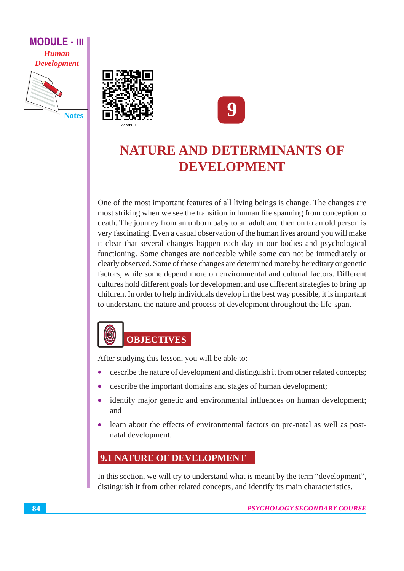**MODULE - III Human Development** 







## NATURE AND DETERMINANTS OF DEVELOPMENT

One of the most important features of all living beings is change. The changes are most striking when we see the transition in human life spanning from conception to death. The journey from an unborn baby to an adult and then on to an old person is very fascinating. Even a casual observation of the human lives around you will make it clear that several changes happen each day in our bodies and psychological functioning. Some changes are noticeable while some can not be immediately or clearly observed. Some of these changes are determined more by hereditary or genetic factors, while some depend more on environmental and cultural factors. Different cultures hold different goals for development and use different strategies to bring up children. In order to help individuals develop in the best way possible, it is important to understand the nature and process of development throughout the life-span.

### $\bigcirc$ **OBJECTIVES**

After studying this lesson, you will be able to:

- describe the nature of development and distinguish it from other related concepts;  $\bullet$
- describe the important domains and stages of human development;
- identify major genetic and environmental influences on human development;  $\bullet$ and
- learn about the effects of environmental factors on pre-natal as well as postnatal development.

#### **9.1 NATURE OF DEVELOPMENT**

In this section, we will try to understand what is meant by the term "development", distinguish it from other related concepts, and identify its main characteristics.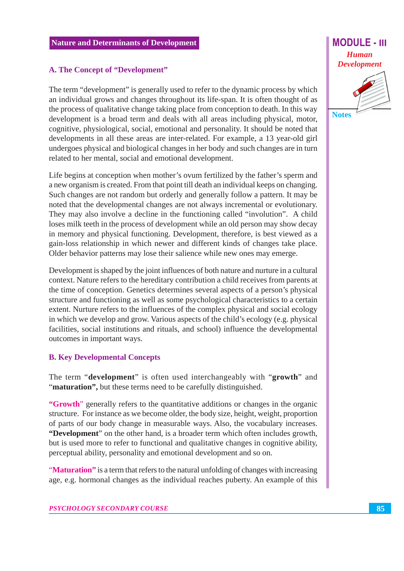#### A. The Concept of "Development"

The term "development" is generally used to refer to the dynamic process by which an individual grows and changes throughout its life-span. It is often thought of as the process of qualitative change taking place from conception to death. In this way development is a broad term and deals with all areas including physical, motor, cognitive, physiological, social, emotional and personality. It should be noted that developments in all these areas are inter-related. For example, a 13 year-old girl undergoes physical and biological changes in her body and such changes are in turn related to her mental, social and emotional development.

Life begins at conception when mother's ovum fertilized by the father's sperm and a new organism is created. From that point till death an individual keeps on changing. Such changes are not random but orderly and generally follow a pattern. It may be noted that the developmental changes are not always incremental or evolutionary. They may also involve a decline in the functioning called "involution". A child loses milk teeth in the process of development while an old person may show decay in memory and physical functioning. Development, therefore, is best viewed as a gain-loss relationship in which newer and different kinds of changes take place. Older behavior patterns may lose their salience while new ones may emerge.

Development is shaped by the joint influences of both nature and nurture in a cultural context. Nature refers to the hereditary contribution a child receives from parents at the time of conception. Genetics determines several aspects of a person's physical structure and functioning as well as some psychological characteristics to a certain extent. Nurture refers to the influences of the complex physical and social ecology in which we develop and grow. Various aspects of the child's ecology (e.g. physical facilities, social institutions and rituals, and school) influence the developmental outcomes in important ways.

#### **B. Key Developmental Concepts**

The term "development" is often used interchangeably with "growth" and "maturation", but these terms need to be carefully distinguished.

"Growth" generally refers to the quantitative additions or changes in the organic structure. For instance as we become older, the body size, height, weight, proportion of parts of our body change in measurable ways. Also, the vocabulary increases. "Development" on the other hand, is a broader term which often includes growth, but is used more to refer to functional and qualitative changes in cognitive ability, perceptual ability, personality and emotional development and so on.

"Maturation" is a term that refers to the natural unfolding of changes with increasing age, e.g. hormonal changes as the individual reaches puberty. An example of this **Notes** 

**MODULE - III**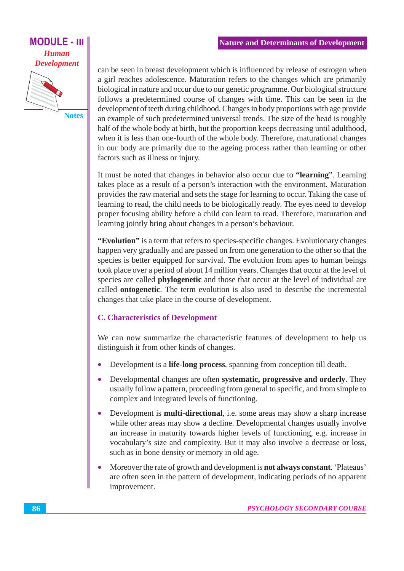#### **MODULE - III Human Development**



can be seen in breast development which is influenced by release of estrogen when a girl reaches adolescence. Maturation refers to the changes which are primarily biological in nature and occur due to our genetic programme. Our biological structure follows a predetermined course of changes with time. This can be seen in the development of teeth during childhood. Changes in body proportions with age provide an example of such predetermined universal trends. The size of the head is roughly half of the whole body at birth, but the proportion keeps decreasing until adulthood, when it is less than one-fourth of the whole body. Therefore, maturational changes in our body are primarily due to the ageing process rather than learning or other factors such as illness or injury.

It must be noted that changes in behavior also occur due to "learning". Learning takes place as a result of a person's interaction with the environment. Maturation provides the raw material and sets the stage for learning to occur. Taking the case of learning to read, the child needs to be biologically ready. The eyes need to develop proper focusing ability before a child can learn to read. Therefore, maturation and learning jointly bring about changes in a person's behaviour.

"Evolution" is a term that refers to species-specific changes. Evolutionary changes happen very gradually and are passed on from one generation to the other so that the species is better equipped for survival. The evolution from apes to human beings took place over a period of about 14 million years. Changes that occur at the level of species are called **phylogenetic** and those that occur at the level of individual are called **ontogenetic**. The term evolution is also used to describe the incremental changes that take place in the course of development.

#### **C. Characteristics of Development**

We can now summarize the characteristic features of development to help us distinguish it from other kinds of changes.

- Development is a **life-long process**, spanning from conception till death.
- Developmental changes are often systematic, progressive and orderly. They  $\bullet$ usually follow a pattern, proceeding from general to specific, and from simple to complex and integrated levels of functioning.
- Development is **multi-directional**, i.e. some areas may show a sharp increase  $\bullet$ while other areas may show a decline. Developmental changes usually involve an increase in maturity towards higher levels of functioning, e.g. increase in vocabulary's size and complexity. But it may also involve a decrease or loss, such as in bone density or memory in old age.
- Moreover the rate of growth and development is **not always constant**. 'Plateaus'  $\bullet$ are often seen in the pattern of development, indicating periods of no apparent improvement.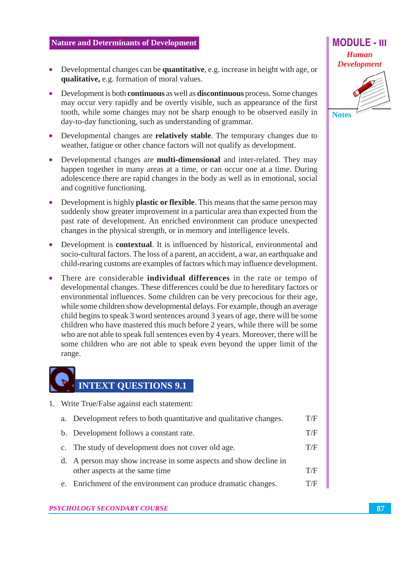- Developmental changes can be quantitative, e.g. increase in height with age, or  $\bullet$ qualitative, e.g. formation of moral values.
- Development is both **continuous** as well as **discontinuous** process. Some changes may occur very rapidly and be overtly visible, such as appearance of the first tooth, while some changes may not be sharp enough to be observed easily in day-to-day functioning, such as understanding of grammar.
- Developmental changes are **relatively stable**. The temporary changes due to weather, fatigue or other chance factors will not qualify as development.
- Developmental changes are **multi-dimensional** and inter-related. They may happen together in many areas at a time, or can occur one at a time. During adolescence there are rapid changes in the body as well as in emotional, social and cognitive functioning.
- Development is highly **plastic or flexible**. This means that the same person may suddenly show greater improvement in a particular area than expected from the past rate of development. An enriched environment can produce unexpected changes in the physical strength, or in memory and intelligence levels.
- Development is **contextual**. It is influenced by historical, environmental and  $\bullet$ socio-cultural factors. The loss of a parent, an accident, a war, an earthquake and child-rearing customs are examples of factors which may influence development.
- There are considerable **individual differences** in the rate or tempo of developmental changes. These differences could be due to hereditary factors or environmental influences. Some children can be very precocious for their age, while some children show developmental delays. For example, though an average child begins to speak 3 word sentences around 3 years of age, there will be some children who have mastered this much before 2 years, while there will be some who are not able to speak full sentences even by 4 years. Moreover, there will be some children who are not able to speak even beyond the upper limit of the range.

# **INTEXT QUESTIONS 9.1**

- 1. Write True/False against each statement:
	- a. Development refers to both quantitative and qualitative changes.  $T/F$
	- b. Development follows a constant rate.  $T/F$
	- c. The study of development does not cover old age.  $T/F$
	- d. A person may show increase in some aspects and show decline in other aspects at the same time  $T/F$
	- e. Enrichment of the environment can produce dramatic changes.  $T/F$



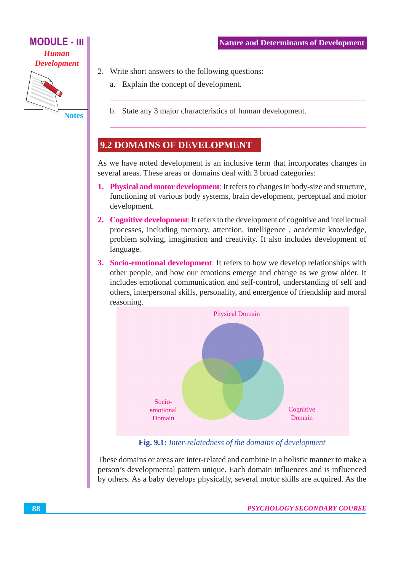

**Notes** 

- 2. Write short answers to the following questions:
	- a. Explain the concept of development.
	- b. State any 3 major characteristics of human development.

#### **9.2 DOMAINS OF DEVELOPMENT**

As we have noted development is an inclusive term that incorporates changes in several areas. These areas or domains deal with 3 broad categories:

- **1. Physical and motor development:** It refers to changes in body-size and structure, functioning of various body systems, brain development, perceptual and motor development.
- 2. Cognitive development: It refers to the development of cognitive and intellectual processes, including memory, attention, intelligence, academic knowledge, problem solving, imagination and creativity. It also includes development of language.
- 3. Socio-emotional development: It refers to how we develop relationships with other people, and how our emotions emerge and change as we grow older. It includes emotional communication and self-control, understanding of self and others, interpersonal skills, personality, and emergence of friendship and moral reasoning.



Fig. 9.1: Inter-relatedness of the domains of development

These domains or areas are inter-related and combine in a holistic manner to make a person's developmental pattern unique. Each domain influences and is influenced by others. As a baby develops physically, several motor skills are acquired. As the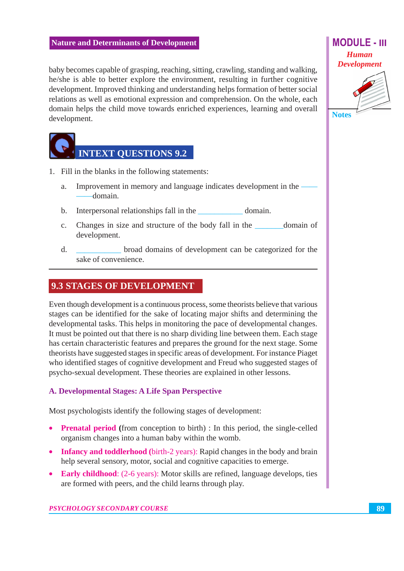baby becomes capable of grasping, reaching, sitting, crawling, standing and walking, he/she is able to better explore the environment, resulting in further cognitive development. Improved thinking and understanding helps formation of better social relations as well as emotional expression and comprehension. On the whole, each domain helps the child move towards enriched experiences, learning and overall development.



- 1. Fill in the blanks in the following statements:
	- Improvement in memory and language indicates development in the  $\overline{a}$ . -domain.
	- Interpersonal relationships fall in the domain.  $h_{\cdot}$
	- Changes in size and structure of the body fall in the  $\mathbf{c}$ . domain of development.
	- $\mathbf{d}$ . broad domains of development can be categorized for the sake of convenience

#### **9.3 STAGES OF DEVELOPMENT**

Even though development is a continuous process, some theorists believe that various stages can be identified for the sake of locating major shifts and determining the developmental tasks. This helps in monitoring the pace of developmental changes. It must be pointed out that there is no sharp dividing line between them. Each stage has certain characteristic features and prepares the ground for the next stage. Some theorists have suggested stages in specific areas of development. For instance Piaget who identified stages of cognitive development and Freud who suggested stages of psycho-sexual development. These theories are explained in other lessons.

#### A. Developmental Stages: A Life Span Perspective

Most psychologists identify the following stages of development:

- **Prenatal period** (from conception to birth) : In this period, the single-celled organism changes into a human baby within the womb.
- Infancy and toddlerhood (birth-2 years): Rapid changes in the body and brain help several sensory, motor, social and cognitive capacities to emerge.
- Early childhood: (2-6 years): Motor skills are refined, language develops, ties are formed with peers, and the child learns through play.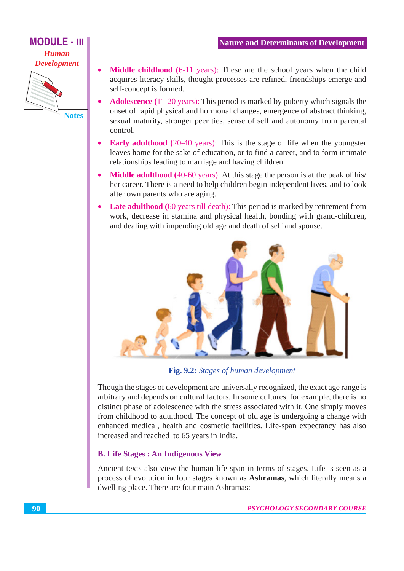#### **MODULE - III Human Development**



- Middle childhood (6-11 years): These are the school years when the child acquires literacy skills, thought processes are refined, friendships emerge and self-concept is formed.
- **Adolescence** (11-20 years): This period is marked by puberty which signals the onset of rapid physical and hormonal changes, emergence of abstract thinking, sexual maturity, stronger peer ties, sense of self and autonomy from parental control.
- **Early adulthood** (20-40 years): This is the stage of life when the youngster leaves home for the sake of education, or to find a career, and to form intimate relationships leading to marriage and having children.
- **Middle adulthood** (40-60 years): At this stage the person is at the peak of his/ her career. There is a need to help children begin independent lives, and to look after own parents who are aging.
- Late adulthood (60 years till death): This period is marked by retirement from work, decrease in stamina and physical health, bonding with grand-children, and dealing with impending old age and death of self and spouse.



Fig. 9.2: Stages of human development

Though the stages of development are universally recognized, the exact age range is arbitrary and depends on cultural factors. In some cultures, for example, there is no distinct phase of adolescence with the stress associated with it. One simply moves from childhood to adulthood. The concept of old age is undergoing a change with enhanced medical, health and cosmetic facilities. Life-span expectancy has also increased and reached to 65 years in India.

#### **B.** Life Stages: An Indigenous View

Ancient texts also view the human life-span in terms of stages. Life is seen as a process of evolution in four stages known as **Ashramas**, which literally means a dwelling place. There are four main Ashramas: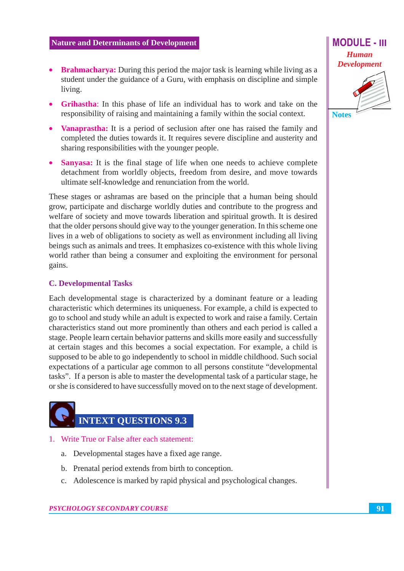- **Brahmacharya:** During this period the major task is learning while living as a  $\bullet$ student under the guidance of a Guru, with emphasis on discipline and simple living.
- **Grihastha:** In this phase of life an individual has to work and take on the responsibility of raising and maintaining a family within the social context.
- **Vanaprastha:** It is a period of seclusion after one has raised the family and completed the duties towards it. It requires severe discipline and austerity and sharing responsibilities with the younger people.
- **Sanyasa:** It is the final stage of life when one needs to achieve complete detachment from worldly objects, freedom from desire, and move towards ultimate self-knowledge and renunciation from the world.

These stages or ashramas are based on the principle that a human being should grow, participate and discharge worldly duties and contribute to the progress and welfare of society and move towards liberation and spiritual growth. It is desired that the older persons should give way to the younger generation. In this scheme one lives in a web of obligations to society as well as environment including all living beings such as animals and trees. It emphasizes co-existence with this whole living world rather than being a consumer and exploiting the environment for personal gains.

#### **C. Developmental Tasks**

Each developmental stage is characterized by a dominant feature or a leading characteristic which determines its uniqueness. For example, a child is expected to go to school and study while an adult is expected to work and raise a family. Certain characteristics stand out more prominently than others and each period is called a stage. People learn certain behavior patterns and skills more easily and successfully at certain stages and this becomes a social expectation. For example, a child is supposed to be able to go independently to school in middle childhood. Such social expectations of a particular age common to all persons constitute "developmental" tasks". If a person is able to master the developmental task of a particular stage, he or she is considered to have successfully moved on to the next stage of development.

# **INTEXT OUESTIONS 9.3**

- 1. Write True or False after each statement:
	- a. Developmental stages have a fixed age range.
	- b. Prenatal period extends from birth to conception.
	- c. Adolescence is marked by rapid physical and psychological changes.

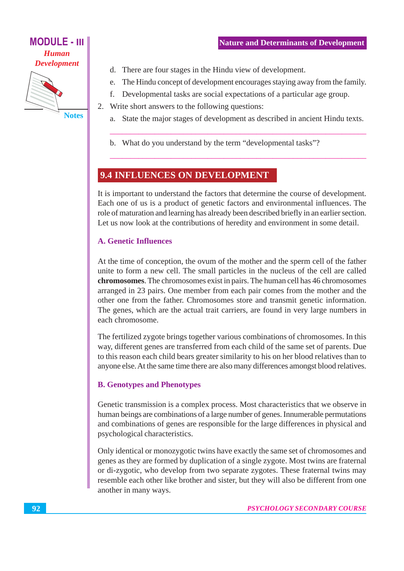

**Notes** 

- d. There are four stages in the Hindu view of development.
- e. The Hindu concept of development encourages staying away from the family.
- f. Developmental tasks are social expectations of a particular age group.

2. Write short answers to the following questions:

- a. State the major stages of development as described in ancient Hindu texts.
- b. What do you understand by the term "developmental tasks"?

#### **9.4 INFLUENCES ON DEVELOPMENT**

It is important to understand the factors that determine the course of development. Each one of us is a product of genetic factors and environmental influences. The role of maturation and learning has already been described briefly in an earlier section. Let us now look at the contributions of heredity and environment in some detail.

#### **A. Genetic Influences**

At the time of conception, the ovum of the mother and the sperm cell of the father unite to form a new cell. The small particles in the nucleus of the cell are called chromosomes. The chromosomes exist in pairs. The human cell has 46 chromosomes arranged in 23 pairs. One member from each pair comes from the mother and the other one from the father. Chromosomes store and transmit genetic information. The genes, which are the actual trait carriers, are found in very large numbers in each chromosome.

The fertilized zygote brings together various combinations of chromosomes. In this way, different genes are transferred from each child of the same set of parents. Due to this reason each child bears greater similarity to his on her blood relatives than to anyone else. At the same time there are also many differences amongst blood relatives.

#### **B. Genotypes and Phenotypes**

Genetic transmission is a complex process. Most characteristics that we observe in human beings are combinations of a large number of genes. Innumerable permutations and combinations of genes are responsible for the large differences in physical and psychological characteristics.

Only identical or monozygotic twins have exactly the same set of chromosomes and genes as they are formed by duplication of a single zygote. Most twins are fraternal or di-zygotic, who develop from two separate zygotes. These fraternal twins may resemble each other like brother and sister, but they will also be different from one another in many ways.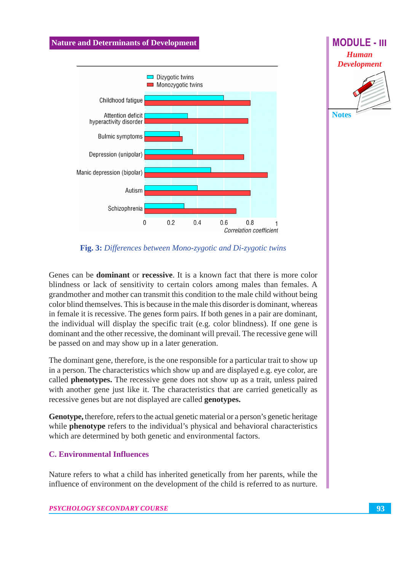

Fig. 3: Differences between Mono-zygotic and Di-zygotic twins

Genes can be **dominant** or **recessive**. It is a known fact that there is more color blindness or lack of sensitivity to certain colors among males than females. A grandmother and mother can transmit this condition to the male child without being color blind themselves. This is because in the male this disorder is dominant, whereas in female it is recessive. The genes form pairs. If both genes in a pair are dominant, the individual will display the specific trait (e.g. color blindness). If one gene is dominant and the other recessive, the dominant will prevail. The recessive gene will be passed on and may show up in a later generation.

The dominant gene, therefore, is the one responsible for a particular trait to show up in a person. The characteristics which show up and are displayed e.g. eye color, are called **phenotypes.** The recessive gene does not show up as a trait, unless paired with another gene just like it. The characteristics that are carried genetically as recessive genes but are not displayed are called **genotypes.** 

**Genotype,** therefore, refers to the actual genetic material or a person's genetic heritage while **phenotype** refers to the individual's physical and behavioral characteristics which are determined by both genetic and environmental factors.

#### **C. Environmental Influences**

Nature refers to what a child has inherited genetically from her parents, while the influence of environment on the development of the child is referred to as nurture. **MODULE - III** 

**Human Development** 

**Notes**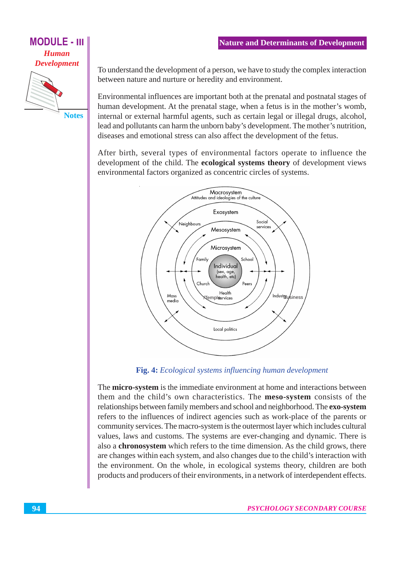#### **MODULE - III Human**

**Development** 

**Notes** 

To understand the development of a person, we have to study the complex interaction between nature and nurture or heredity and environment.

Environmental influences are important both at the prenatal and postnatal stages of human development. At the prenatal stage, when a fetus is in the mother's womb, internal or external harmful agents, such as certain legal or illegal drugs, alcohol, lead and pollutants can harm the unborn baby's development. The mother's nutrition, diseases and emotional stress can also affect the development of the fetus.

After birth, several types of environmental factors operate to influence the development of the child. The **ecological systems theory** of development views environmental factors organized as concentric circles of systems.



Fig. 4: Ecological systems influencing human development

The micro-system is the immediate environment at home and interactions between them and the child's own characteristics. The **meso-system** consists of the relationships between family members and school and neighborhood. The exo-system refers to the influences of indirect agencies such as work-place of the parents or community services. The macro-system is the outermost layer which includes cultural values, laws and customs. The systems are ever-changing and dynamic. There is also a chronosystem which refers to the time dimension. As the child grows, there are changes within each system, and also changes due to the child's interaction with the environment. On the whole, in ecological systems theory, children are both products and producers of their environments, in a network of interdependent effects.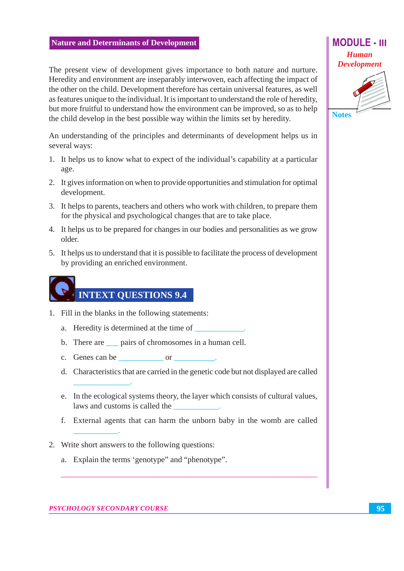The present view of development gives importance to both nature and nurture. Heredity and environment are inseparably interwoven, each affecting the impact of the other on the child. Development therefore has certain universal features, as well as features unique to the individual. It is important to understand the role of heredity, but more fruitful to understand how the environment can be improved, so as to help the child develop in the best possible way within the limits set by heredity.

An understanding of the principles and determinants of development helps us in several ways:

- 1. It helps us to know what to expect of the individual's capability at a particular age.
- 2. It gives information on when to provide opportunities and stimulation for optimal development.
- 3. It helps to parents, teachers and others who work with children, to prepare them for the physical and psychological changes that are to take place.
- 4. It helps us to be prepared for changes in our bodies and personalities as we grow older.
- 5. It helps us to understand that it is possible to facilitate the process of development by providing an enriched environment.

## **INTEXT QUESTIONS 9.4**

- 1. Fill in the blanks in the following statements:
	- a. Heredity is determined at the time of
	- b. There are <u>pairs</u> of chromosomes in a human cell.
	- c. Genes can be or
	- d. Characteristics that are carried in the genetic code but not displayed are called
	- e. In the ecological systems theory, the layer which consists of cultural values, laws and customs is called the
	- f. External agents that can harm the unborn baby in the womb are called
- 2. Write short answers to the following questions:
	- a. Explain the terms 'genotype' and "phenotype".

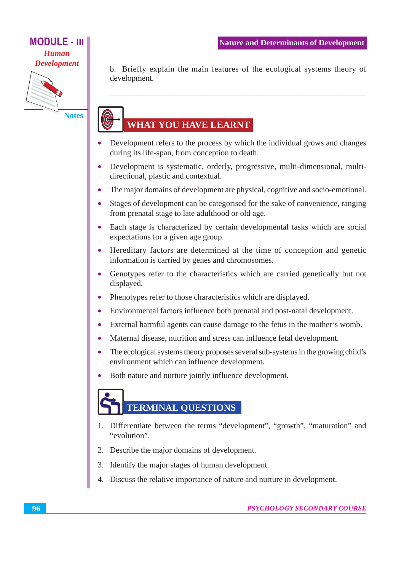#### **MODULE - III Human**

**Development** 



**Notes** 

b. Briefly explain the main features of the ecological systems theory of development.

### WHAT YOU HAVE LEARNT

- Development refers to the process by which the individual grows and changes  $\bullet$ during its life-span, from conception to death.
- Development is systematic, orderly, progressive, multi-dimensional, multi- $\bullet$ directional, plastic and contextual.
- The major domains of development are physical, cognitive and socio-emotional.
- Stages of development can be categorised for the sake of convenience, ranging  $\bullet$ from prenatal stage to late adulthood or old age.
- Each stage is characterized by certain developmental tasks which are social  $\bullet$ expectations for a given age group.
- Hereditary factors are determined at the time of conception and genetic information is carried by genes and chromosomes.
- Genotypes refer to the characteristics which are carried genetically but not  $\bullet$ displayed.
- Phenotypes refer to those characteristics which are displayed.  $\bullet$
- Environmental factors influence both prenatal and post-natal development.  $\bullet$
- External harmful agents can cause damage to the fetus in the mother's womb.  $\bullet$
- Maternal disease, nutrition and stress can influence fetal development.  $\bullet$
- The ecological systems theory proposes several sub-systems in the growing child's  $\bullet$ environment which can influence development.
- Both nature and nurture jointly influence development.  $\bullet$

## **TERMINAL QUESTIONS**

- 1. Differentiate between the terms "development", "growth", "maturation" and "evolution".
- 2. Describe the major domains of development.
- 3. Identify the major stages of human development.
- 4. Discuss the relative importance of nature and nurture in development.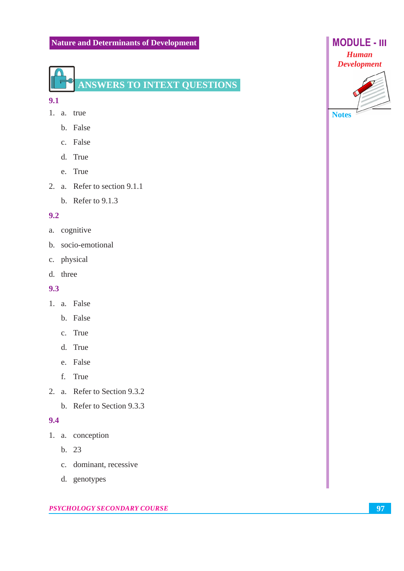

#### $9.1$

- 1. a. true
	- b. False
	- c. False
	- d. True
	- e. True
- 2. a. Refer to section 9.1.1
	- b. Refer to  $9.1.3$

#### $9.2$

- a. cognitive
- b. socio-emotional
- c. physical
- d. three

#### $9.3$

- 1. a. False
	- b. False
	- c. True
	- d. True
	- e. False
	- f. True
- 2. a. Refer to Section 9.3.2
	- b. Refer to Section 9.3.3

#### $9.4$

- 1. a. conception
	- $b. 23$
	- c. dominant, recessive
	- d. genotypes